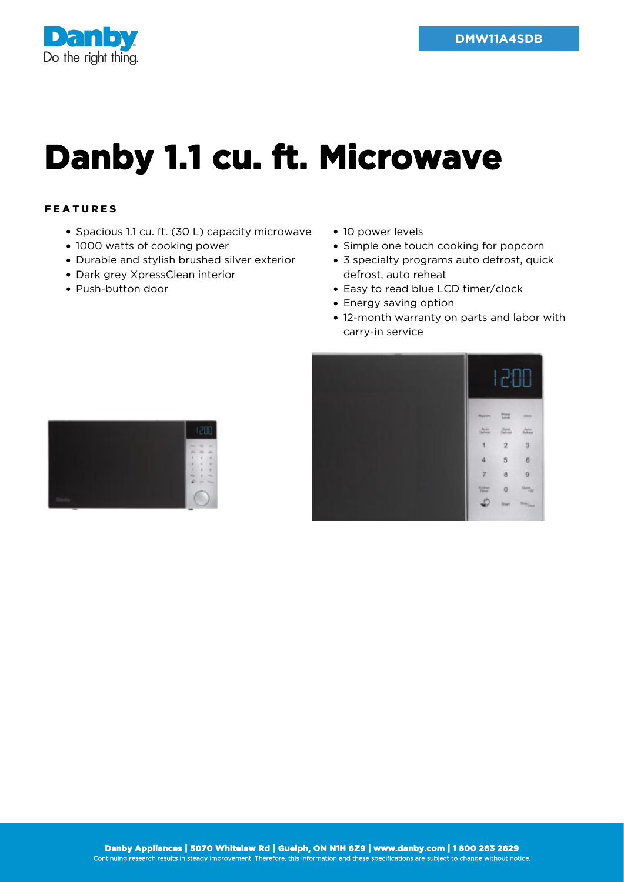



## **Danby 1.1 cu. ft. Microwave**

## FEATURES

- Spacious 1.1 cu. ft. (30 L) capacity microwave
- 1000 watts of cooking power
- Durable and stylish brushed silver exterior
- Dark grey XpressClean interior
- Push-button door
- 10 power levels
- Simple one touch cooking for popcorn
- 3 specialty programs auto defrost, quick defrost, auto reheat
- Easy to read blue LCD timer/clock
- Energy saving option
- 12-month warranty on parts and labor with carry-in service